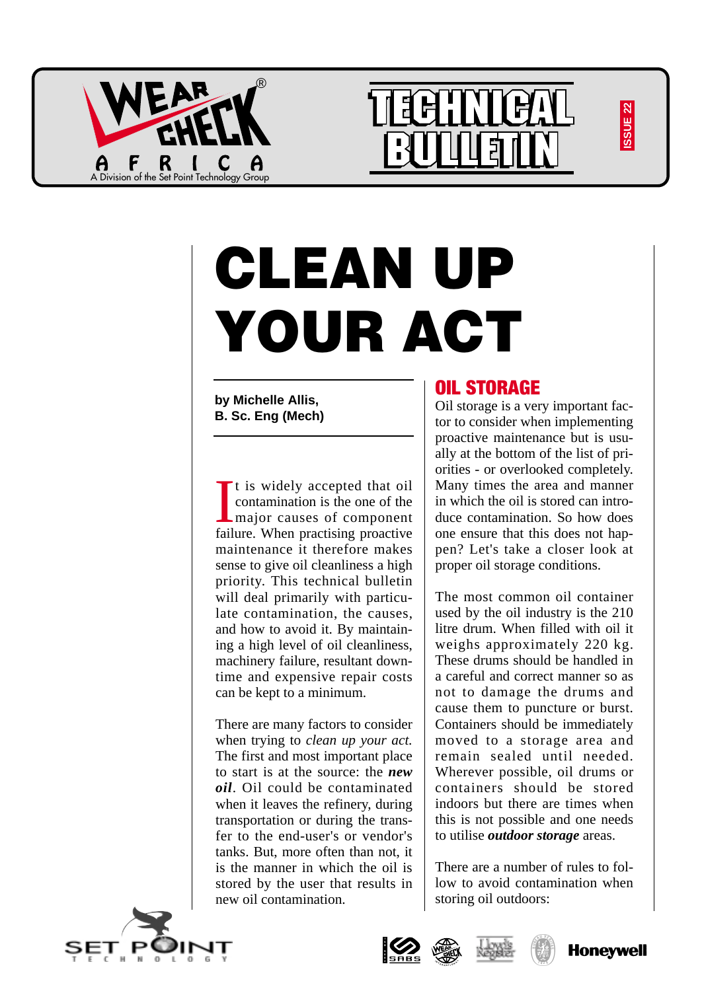





# **CLEAN UP YOUR ACT**

**by Michelle Allis, B. Sc. Eng (Mech)**

I It is widely accepted that oil contamination is the one of the major causes of component failure. When practising proactive maintenance it therefore makes sense to give oil cleanliness a high priority. This technical bulletin will deal primarily with particulate contamination, the causes, and how to avoid it. By maintaining a high level of oil cleanliness, machinery failure, resultant downtime and expensive repair costs can be kept to a minimum.

There are many factors to consider when trying to *clean up your act.* The first and most important place to start is at the source: the *new oil*. Oil could be contaminated when it leaves the refinery, during transportation or during the transfer to the end-user's or vendor's tanks. But, more often than not, it is the manner in which the oil is stored by the user that results in new oil contamination.

## OIL STORAGE

Oil storage is a very important factor to consider when implementing proactive maintenance but is usually at the bottom of the list of priorities - or overlooked completely. Many times the area and manner in which the oil is stored can introduce contamination. So how does one ensure that this does not happen? Let's take a closer look at proper oil storage conditions.

The most common oil container used by the oil industry is the 210 litre drum. When filled with oil it weighs approximately 220 kg. These drums should be handled in a careful and correct manner so as not to damage the drums and cause them to puncture or burst. Containers should be immediately moved to a storage area and remain sealed until needed. Wherever possible, oil drums or containers should be stored indoors but there are times when this is not possible and one needs to utilise *outdoor storage* areas.

There are a number of rules to follow to avoid contamination when storing oil outdoors:

**<sup>B</sup>UREA<sup>U</sup> <sup>V</sup>ERIT<sup>A</sup><sup>S</sup>**







 $\mathbf{r}$ 



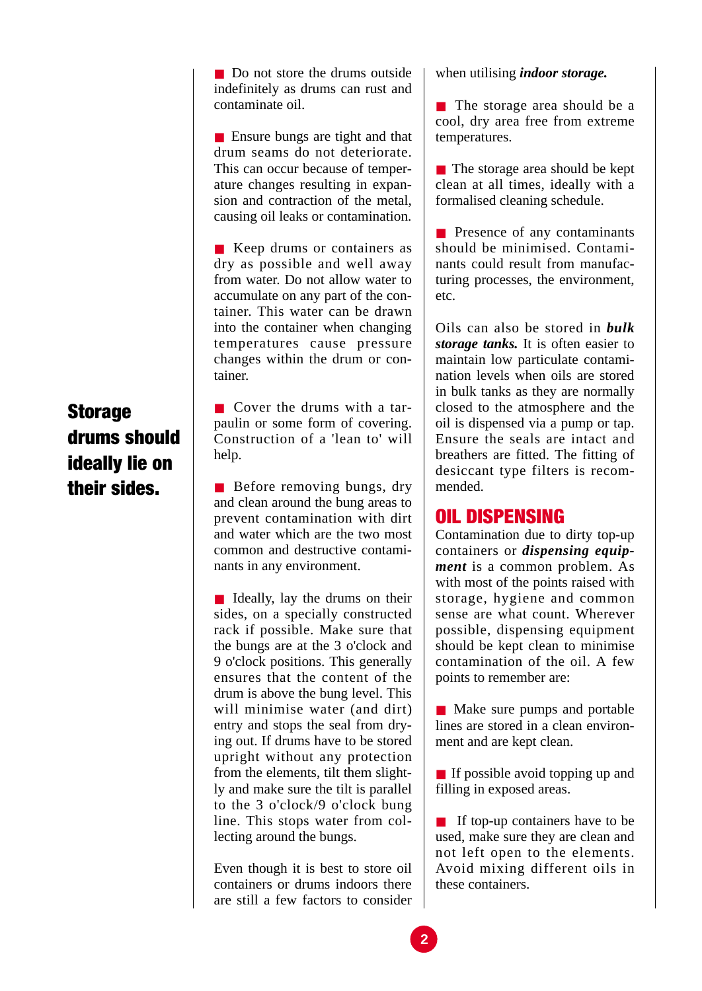■ Do not store the drums outside indefinitely as drums can rust and contaminate oil.

■ Ensure bungs are tight and that drum seams do not deteriorate. This can occur because of temperature changes resulting in expansion and contraction of the metal, causing oil leaks or contamination.

■ Keep drums or containers as dry as possible and well away from water. Do not allow water to accumulate on any part of the container. This water can be drawn into the container when changing temperatures cause pressure changes within the drum or container.

# **Storage** drums should ideally lie on their sides.

■ Cover the drums with a tarpaulin or some form of covering. Construction of a 'lean to' will help.

■ Before removing bungs, dry and clean around the bung areas to prevent contamination with dirt and water which are the two most common and destructive contaminants in any environment.

■ Ideally, lay the drums on their sides, on a specially constructed rack if possible. Make sure that the bungs are at the 3 o'clock and 9 o'clock positions. This generally ensures that the content of the drum is above the bung level. This will minimise water (and dirt) entry and stops the seal from drying out. If drums have to be stored upright without any protection from the elements, tilt them slightly and make sure the tilt is parallel to the 3 o'clock/9 o'clock bung line. This stops water from collecting around the bungs.

Even though it is best to store oil containers or drums indoors there are still a few factors to consider when utilising *indoor storage.*

■ The storage area should be a cool, dry area free from extreme temperatures.

■ The storage area should be kept clean at all times, ideally with a formalised cleaning schedule.

■ Presence of any contaminants should be minimised. Contaminants could result from manufacturing processes, the environment, etc.

Oils can also be stored in *bulk storage tanks.* It is often easier to maintain low particulate contamination levels when oils are stored in bulk tanks as they are normally closed to the atmosphere and the oil is dispensed via a pump or tap. Ensure the seals are intact and breathers are fitted. The fitting of desiccant type filters is recommended.

## OIL DISPENSING

Contamination due to dirty top-up containers or *dispensing equipment* is a common problem. As with most of the points raised with storage, hygiene and common sense are what count. Wherever possible, dispensing equipment should be kept clean to minimise contamination of the oil. A few points to remember are:

■ Make sure pumps and portable lines are stored in a clean environment and are kept clean.

■ If possible avoid topping up and filling in exposed areas.

■ If top-up containers have to be used, make sure they are clean and not left open to the elements. Avoid mixing different oils in these containers.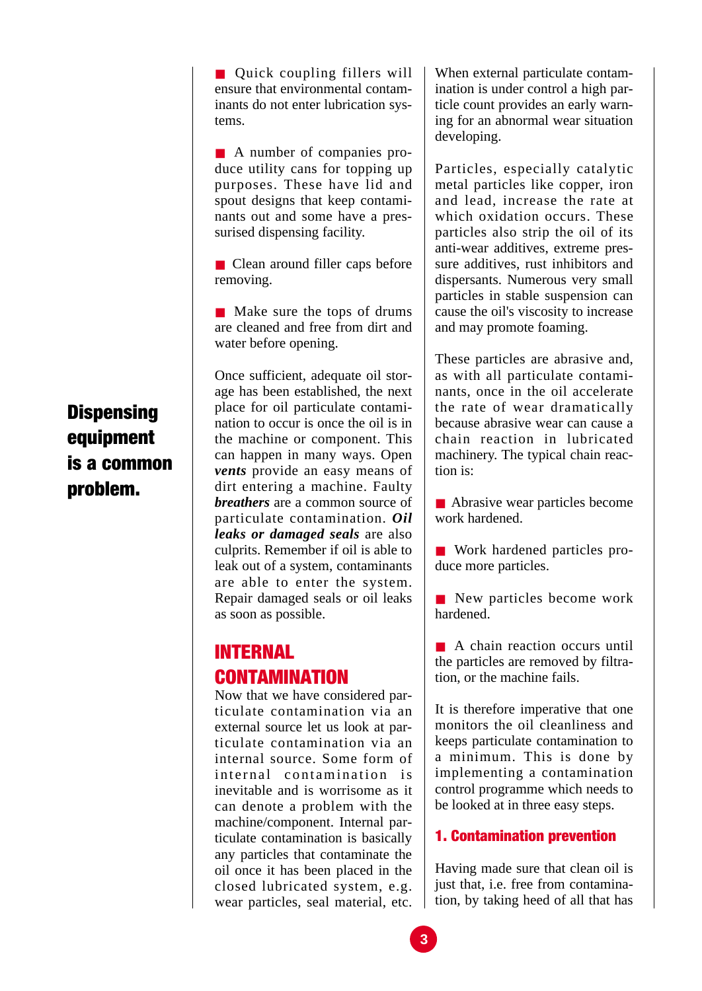■ Quick coupling fillers will ensure that environmental contaminants do not enter lubrication systems.

■ A number of companies produce utility cans for topping up purposes. These have lid and spout designs that keep contaminants out and some have a pressurised dispensing facility.

■ Clean around filler caps before removing.

■ Make sure the tops of drums are cleaned and free from dirt and water before opening.

Once sufficient, adequate oil storage has been established, the next place for oil particulate contamination to occur is once the oil is in the machine or component. This can happen in many ways. Open *vents* provide an easy means of dirt entering a machine. Faulty *breathers* are a common source of particulate contamination. *Oil leaks or damaged seals* are also culprits. Remember if oil is able to leak out of a system, contaminants are able to enter the system. Repair damaged seals or oil leaks as soon as possible.

## INTERNAL CONTAMINATION

Now that we have considered particulate contamination via an external source let us look at particulate contamination via an internal source. Some form of internal contamination is inevitable and is worrisome as it can denote a problem with the machine/component. Internal particulate contamination is basically any particles that contaminate the oil once it has been placed in the closed lubricated system, e.g. wear particles, seal material, etc. When external particulate contamination is under control a high particle count provides an early warning for an abnormal wear situation developing.

Particles, especially catalytic metal particles like copper, iron and lead, increase the rate at which oxidation occurs. These particles also strip the oil of its anti-wear additives, extreme pressure additives, rust inhibitors and dispersants. Numerous very small particles in stable suspension can cause the oil's viscosity to increase and may promote foaming.

These particles are abrasive and, as with all particulate contaminants, once in the oil accelerate the rate of wear dramatically because abrasive wear can cause a chain reaction in lubricated machinery. The typical chain reaction is:

■ Abrasive wear particles become work hardened.

■ Work hardened particles produce more particles.

■ New particles become work hardened.

■ A chain reaction occurs until the particles are removed by filtration, or the machine fails.

It is therefore imperative that one monitors the oil cleanliness and keeps particulate contamination to a minimum. This is done by implementing a contamination control programme which needs to be looked at in three easy steps.

## 1. Contamination prevention

Having made sure that clean oil is just that, i.e. free from contamination, by taking heed of all that has

# **Dispensing** equipment is a common problem.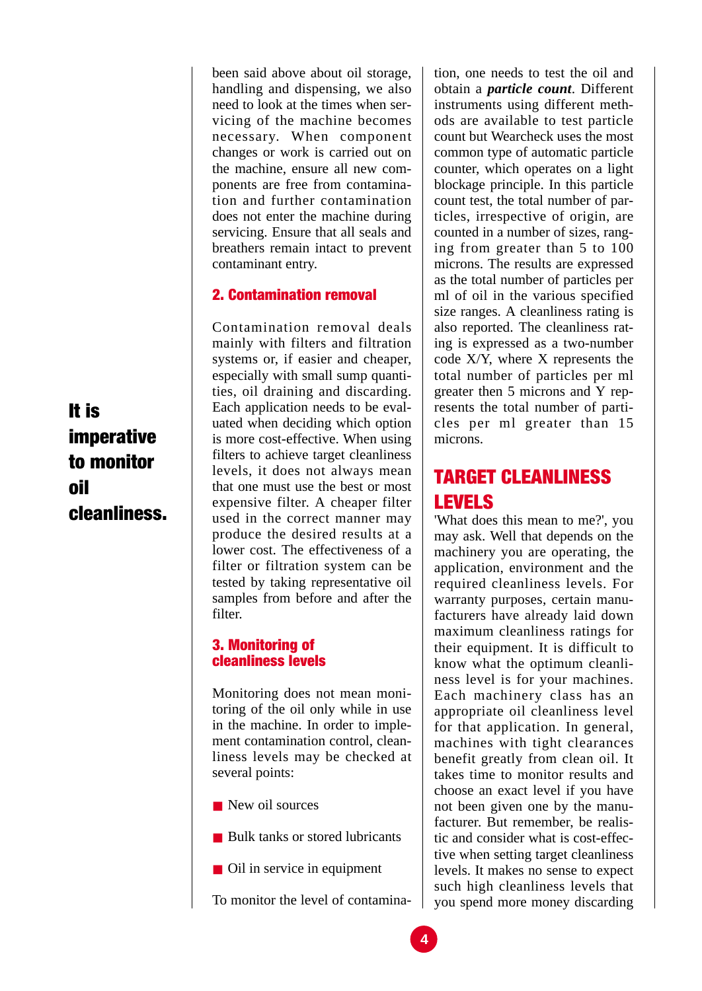been said above about oil storage, handling and dispensing, we also need to look at the times when servicing of the machine becomes necessary. When component changes or work is carried out on the machine, ensure all new components are free from contamination and further contamination does not enter the machine during servicing. Ensure that all seals and breathers remain intact to prevent contaminant entry.

### 2. Contamination removal

Contamination removal deals mainly with filters and filtration systems or, if easier and cheaper, especially with small sump quantities, oil draining and discarding. Each application needs to be evaluated when deciding which option is more cost-effective. When using filters to achieve target cleanliness levels, it does not always mean that one must use the best or most expensive filter. A cheaper filter used in the correct manner may produce the desired results at a lower cost. The effectiveness of a filter or filtration system can be tested by taking representative oil samples from before and after the filter.

#### 3. Monitoring of cleanliness levels

Monitoring does not mean monitoring of the oil only while in use in the machine. In order to implement contamination control, cleanliness levels may be checked at several points:

- New oil sources
- Bulk tanks or stored lubricants
- Oil in service in equipment

To monitor the level of contamina-

tion, one needs to test the oil and obtain a *particle count*. Different instruments using different methods are available to test particle count but Wearcheck uses the most common type of automatic particle counter, which operates on a light blockage principle. In this particle count test, the total number of particles, irrespective of origin, are counted in a number of sizes, ranging from greater than 5 to 100 microns. The results are expressed as the total number of particles per ml of oil in the various specified size ranges. A cleanliness rating is also reported. The cleanliness rating is expressed as a two-number code X/Y, where X represents the total number of particles per ml greater then 5 microns and Y represents the total number of particles per ml greater than 15 microns.

## TARGET CLEANLINESS LEVELS

'What does this mean to me?', you may ask. Well that depends on the machinery you are operating, the application, environment and the required cleanliness levels. For warranty purposes, certain manufacturers have already laid down maximum cleanliness ratings for their equipment. It is difficult to know what the optimum cleanliness level is for your machines. Each machinery class has an appropriate oil cleanliness level for that application. In general, machines with tight clearances benefit greatly from clean oil. It takes time to monitor results and choose an exact level if you have not been given one by the manufacturer. But remember, be realistic and consider what is cost-effective when setting target cleanliness levels. It makes no sense to expect such high cleanliness levels that you spend more money discarding

It is imperative to monitor oil cleanliness.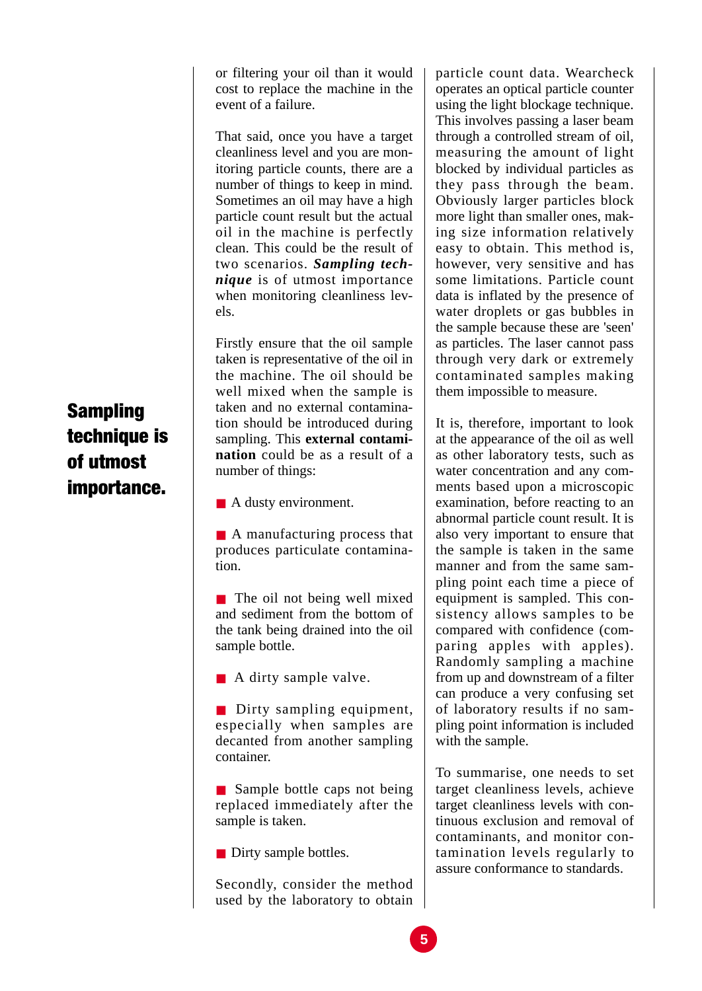or filtering your oil than it would cost to replace the machine in the event of a failure.

That said, once you have a target cleanliness level and you are monitoring particle counts, there are a number of things to keep in mind. Sometimes an oil may have a high particle count result but the actual oil in the machine is perfectly clean. This could be the result of two scenarios. *Sampling technique* is of utmost importance when monitoring cleanliness levels.

Firstly ensure that the oil sample taken is representative of the oil in the machine. The oil should be well mixed when the sample is taken and no external contamination should be introduced during sampling. This **external contamination** could be as a result of a number of things:

■ A dusty environment.

■ A manufacturing process that produces particulate contamination.

■ The oil not being well mixed and sediment from the bottom of the tank being drained into the oil sample bottle.

■ A dirty sample valve.

■ Dirty sampling equipment, especially when samples are decanted from another sampling container.

■ Sample bottle caps not being replaced immediately after the sample is taken.

■ Dirty sample bottles.

Secondly, consider the method used by the laboratory to obtain

particle count data. Wearcheck operates an optical particle counter using the light blockage technique. This involves passing a laser beam through a controlled stream of oil, measuring the amount of light blocked by individual particles as they pass through the beam. Obviously larger particles block more light than smaller ones, making size information relatively easy to obtain. This method is, however, very sensitive and has some limitations. Particle count data is inflated by the presence of water droplets or gas bubbles in the sample because these are 'seen' as particles. The laser cannot pass through very dark or extremely contaminated samples making them impossible to measure.

It is, therefore, important to look at the appearance of the oil as well as other laboratory tests, such as water concentration and any comments based upon a microscopic examination, before reacting to an abnormal particle count result. It is also very important to ensure that the sample is taken in the same manner and from the same sampling point each time a piece of equipment is sampled. This consistency allows samples to be compared with confidence (comparing apples with apples). Randomly sampling a machine from up and downstream of a filter can produce a very confusing set of laboratory results if no sampling point information is included with the sample.

To summarise, one needs to set target cleanliness levels, achieve target cleanliness levels with continuous exclusion and removal of contaminants, and monitor contamination levels regularly to assure conformance to standards.

# Sampling technique is of utmost importance.